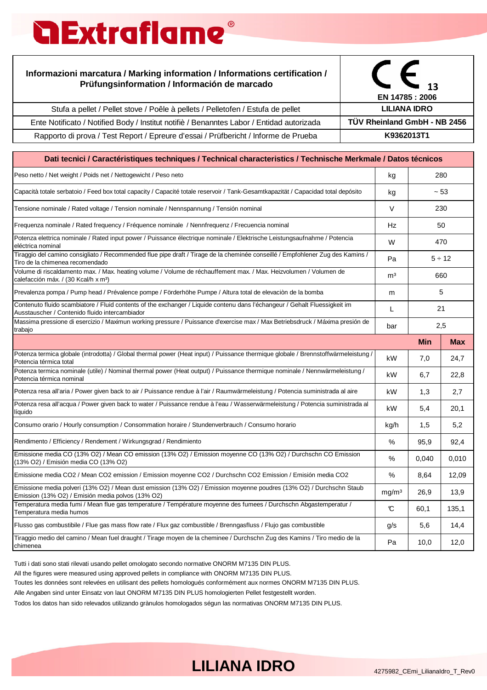# **a Extraflame**

#### **Informazioni marcatura / Marking information / Informations certification / Prüfungsinformation / Información de marcado**

|                                                                                           | EN 14785 : 2006              |
|-------------------------------------------------------------------------------------------|------------------------------|
| Stufa a pellet / Pellet stove / Poêle à pellets / Pelletofen / Estufa de pellet           | LILIANA IDRO                 |
| Ente Notificato / Notified Body / Institut notifiè / Benanntes Labor / Entidad autorizada | TÜV Rheinland GmbH - NB 2456 |
| Rapporto di prova / Test Report / Epreure d'essai / Prüfbericht / Informe de Prueba       | K9362013T1                   |

| Dati tecnici / Caractéristiques techniques / Technical characteristics / Technische Merkmale / Datos técnicos                                                                |        |             |            |
|------------------------------------------------------------------------------------------------------------------------------------------------------------------------------|--------|-------------|------------|
| Peso netto / Net weight / Poids net / Nettogewicht / Peso neto                                                                                                               |        |             | 280        |
| Capacità totale serbatoio / Feed box total capacity / Capacité totale reservoir / Tank-Gesamtkapazität / Capacidad total depósito                                            | kg     |             | $~1 - 53$  |
| Tensione nominale / Rated voltage / Tension nominale / Nennspannung / Tensión nominal                                                                                        | $\vee$ |             | 230        |
| Frequenza nominale / Rated frequency / Fréquence nominale / Nennfrequenz / Frecuencia nominal                                                                                | Hz     |             | 50         |
| Potenza elettrica nominale / Rated input power / Puissance électrique nominale / Elektrische Leistungsaufnahme / Potencia<br>eléctrica nominal                               |        | 470         |            |
| Tiraggio del camino consigliato / Recommended flue pipe draft / Tirage de la cheminée conseillé / Empfohlener Zug des Kamins /<br>Tiro de la chimenea recomendado            |        | $5 \div 12$ |            |
| Volume di riscaldamento max. / Max. heating volume / Volume de réchauffement max. / Max. Heizvolumen / Volumen de<br>calefacción máx. / (30 Kcal/h x m <sup>3</sup> )        |        | 660         |            |
| Prevalenza pompa / Pump head / Prévalence pompe / Förderhöhe Pumpe / Altura total de elevaciòn de la bomba                                                                   | m      |             | 5          |
| Contenuto fluido scambiatore / Fluid contents of the exchanger / Liquide contenu dans l'échangeur / Gehalt Fluessigkeit im<br>Ausstauscher / Contenido fluido intercambiador |        | 21          |            |
| Massima pressione di esercizio / Maximun working pressure / Puissance d'exercise max / Max Betriebsdruck / Máxima presión de                                                 |        | 2,5         |            |
|                                                                                                                                                                              |        | Min         | <b>Max</b> |
| Potenza termica globale (introdotta) / Global thermal power (Heat input) / Puissance thermique globale / Brennstoffwärmeleistung /<br>Potencia térmica total                 | kW     | 7,0         | 24,7       |
| Potenza termica nominale (utile) / Nominal thermal power (Heat output) / Puissance thermique nominale / Nennwärmeleistung /<br>Potencia térmica nominal                      |        | 6,7         | 22,8       |
| Potenza resa all'aria / Power given back to air / Puissance rendue à l'air / Raumwärmeleistung / Potencia suministrada al aire                                               | kW     | 1,3         | 2,7        |
| Potenza resa all'acqua / Power given back to water / Puissance rendue à l'eau / Wasserwärmeleistung / Potencia suministrada al<br>líquido                                    |        | 5,4         | 20,1       |
| Consumo orario / Hourly consumption / Consommation horaire / Stundenverbrauch / Consumo horario                                                                              | kg/h   | 1,5         | 5,2        |
| Rendimento / Efficiency / Rendement / Wirkungsgrad / Rendimiento                                                                                                             |        | 95,9        | 92,4       |
| Emissione media CO (13% O2) / Mean CO emission (13% O2) / Emission moyenne CO (13% O2) / Durchschn CO Emission<br>(13% O2) / Emisión media CO (13% O2)                       |        | 0,040       | 0,010      |
| Emissione media CO2 / Mean CO2 emission / Emission moyenne CO2 / Durchschn CO2 Emission / Emisión media CO2                                                                  |        | 8,64        | 12,09      |
| Emissione media polveri (13% O2) / Mean dust emission (13% O2) / Emission moyenne poudres (13% O2) / Durchschn Staub<br>Emission (13% O2) / Emisión media polvos (13% O2)    |        | 26,9        | 13,9       |
| Temperatura media fumi / Mean flue gas temperature / Température moyenne des fumees / Durchschn Abgastemperatur /<br>Temperatura media humos                                 |        | 60,1        | 135,1      |
| Flusso gas combustibile / Flue gas mass flow rate / Flux gaz combustible / Brenngasfluss / Flujo gas combustible                                                             |        | 5,6         | 14,4       |
| Tiraggio medio del camino / Mean fuel draught / Tirage moyen de la cheminee / Durchschn Zug des Kamins / Tiro medio de la<br>chimenea                                        | Pa     | 10,0        | 12,0       |

Tutti i dati sono stati rilevati usando pellet omologato secondo normative ONORM M7135 DIN PLUS.

All the figures were measured using approved pellets in compliance with ONORM M7135 DIN PLUS.

Toutes les données sont relevées en utilisant des pellets homologués conformément aux normes ONORM M7135 DIN PLUS.

Alle Angaben sind unter Einsatz von laut ONORM M7135 DIN PLUS homologierten Pellet festgestellt worden.

Todos los datos han sido relevados utilizando grànulos homologados ségun las normativas ONORM M7135 DIN PLUS.

#### LILIANA IDRO 4275982\_CEmi\_LilianaIdro\_T\_Rev0

**MELINDA IDRO MELINDA IDRO**

**13**